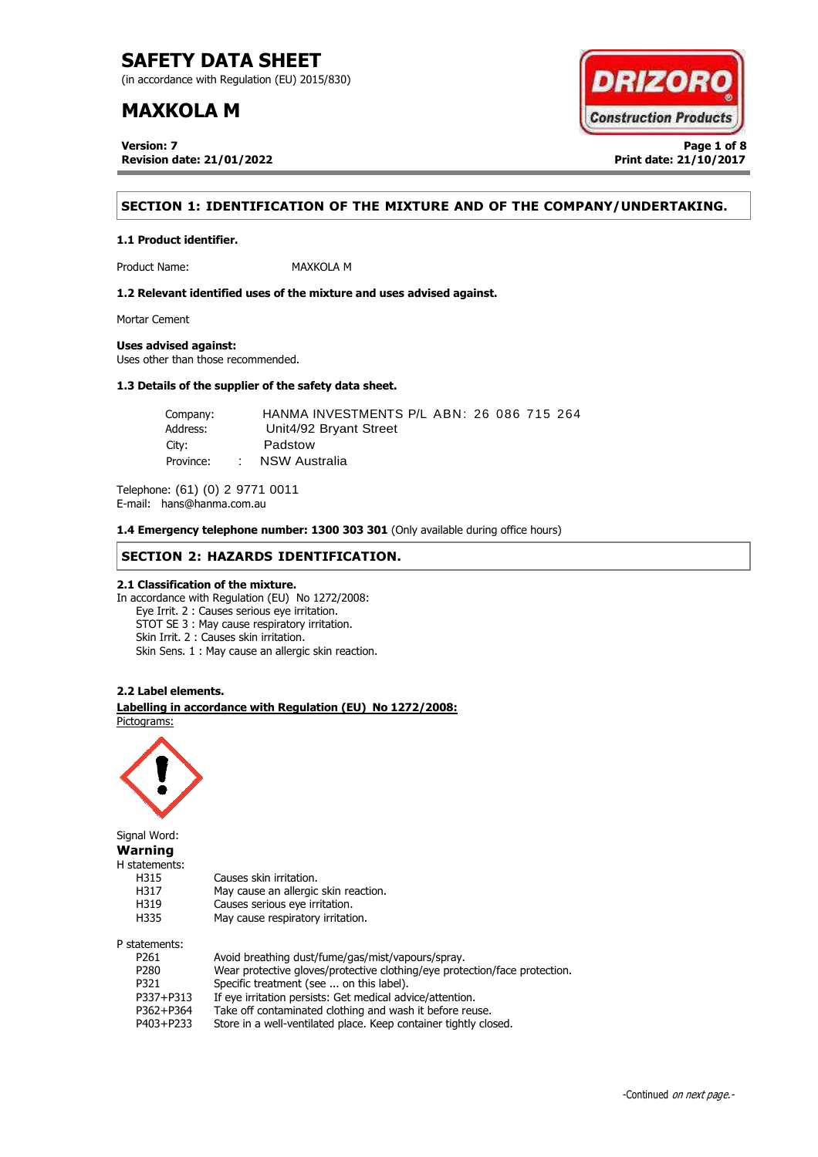(in accordance with Regulation (EU) 2015/830)

## **MAXKOLA M**

**Version: 7 Page 1 of 8 Revision date: 21/01/2022 Print date: 21/10/2017**



## **SECTION 1: IDENTIFICATION OF THE MIXTURE AND OF THE COMPANY/UNDERTAKING.**

**1.1 Product identifier.**

Product Name: MAXKOLA M

**1.2 Relevant identified uses of the mixture and uses advised against.**

Mortar Cement

**Uses advised against:**

Uses other than those recommended.

## **1.3 Details of the supplier of the safety data sheet.**

Company: HANMA INVESTMENTS P/L ABN: 26 086 715 264 Address: Unit4/92 Bryant Street City: Padstow Province: : NSW Australia

Telephone: (61) (0) 2 9771 0011 E-mail: hans@hanma.com.au

**1.4 Emergency telephone number: 1300 303 301** (Only available during office hours)

### **SECTION 2: HAZARDS IDENTIFICATION.**

### **2.1 Classification of the mixture.**

In accordance with Regulation (EU) No 1272/2008: Eye Irrit. 2 : Causes serious eye irritation. STOT SE 3 : May cause respiratory irritation. Skin Irrit. 2 : Causes skin irritation. Skin Sens. 1 : May cause an allergic skin reaction.

#### **2.2 Label elements.**

. **Labelling in accordance with Regulation (EU) No 1272/2008:** Pictograms:

May cause an allergic skin reaction.



Signal Word: **Warning** H statements: H315 Causes skin irritation.<br>H317 May cause an allergic H319 Causes serious eye irritation. H335 May cause respiratory irritation. P statements:

| P261             | Avoid breathing dust/fume/gas/mist/vapours/spray.                          |
|------------------|----------------------------------------------------------------------------|
| P <sub>280</sub> | Wear protective gloves/protective clothing/eye protection/face protection. |
| P321             | Specific treatment (see  on this label).                                   |
| P337+P313        | If eye irritation persists: Get medical advice/attention.                  |
| P362+P364        | Take off contaminated clothing and wash it before reuse.                   |
| P403+P233        | Store in a well-ventilated place. Keep container tightly closed.           |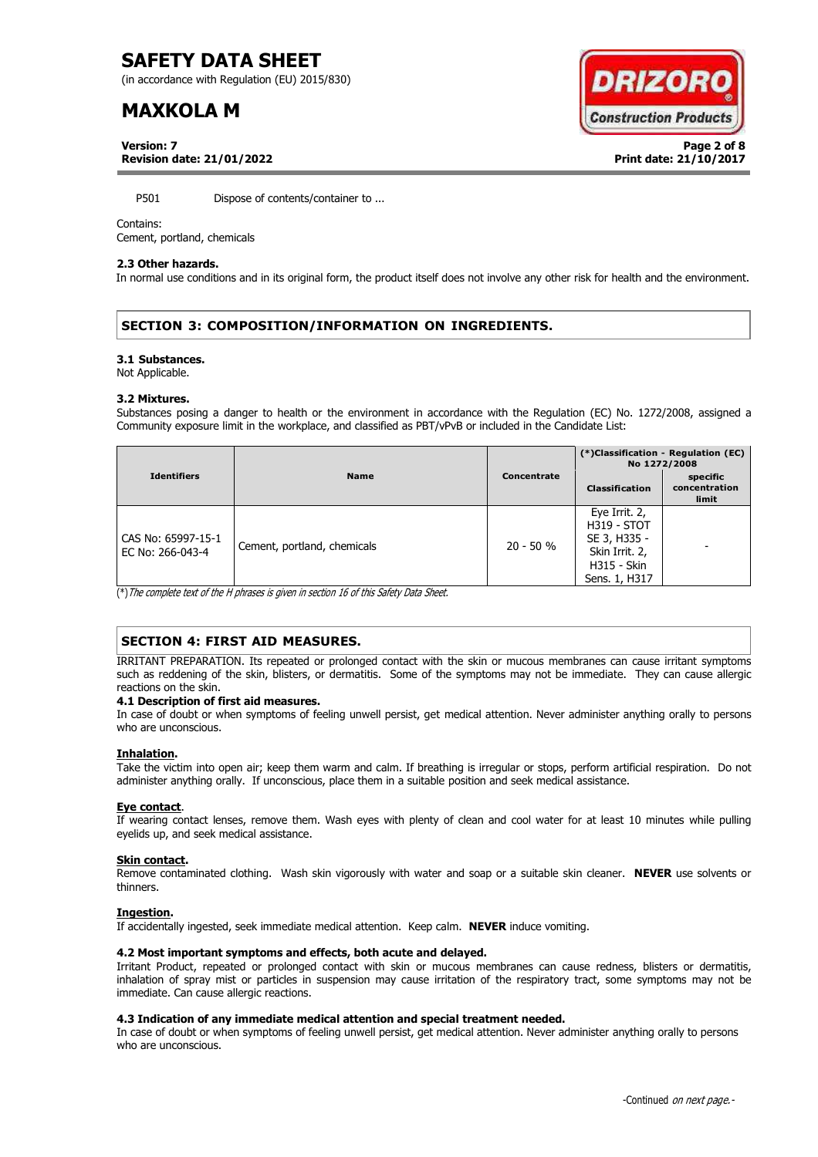(in accordance with Regulation (EU) 2015/830)

# **MAXKOLA M**

**Version: 7 Page 2 of 8**



**Revision date: 21/01/2022 Print date: 21/10/2017**

P501 Dispose of contents/container to ...

#### Contains:

Cement, portland, chemicals

#### **2.3 Other hazards.**

In normal use conditions and in its original form, the product itself does not involve any other risk for health and the environment.

## **SECTION 3: COMPOSITION/INFORMATION ON INGREDIENTS.**

#### **3.1 Substances.**

Not Applicable.

#### **3.2 Mixtures.**

Substances posing a danger to health or the environment in accordance with the Regulation (EC) No. 1272/2008, assigned a Community exposure limit in the workplace, and classified as PBT/vPvB or included in the Candidate List:

| <b>Identifiers</b>                     | <b>Name</b>                 | Concentrate | (*)Classification - Regulation (EC)<br>No 1272/2008                                                          |                                    |
|----------------------------------------|-----------------------------|-------------|--------------------------------------------------------------------------------------------------------------|------------------------------------|
|                                        |                             |             | <b>Classification</b>                                                                                        | specific<br>concentration<br>limit |
| CAS No: 65997-15-1<br>EC No: 266-043-4 | Cement, portland, chemicals | $20 - 50 %$ | Eye Irrit. 2,<br><b>H319 - STOT</b><br>SE 3, H335 -<br>Skin Irrit. 2,<br><b>H315 - Skin</b><br>Sens. 1, H317 |                                    |

(\*)The complete text of the H phrases is given in section 16 of this Safety Data Sheet.

## **SECTION 4: FIRST AID MEASURES.**

IRRITANT PREPARATION. Its repeated or prolonged contact with the skin or mucous membranes can cause irritant symptoms such as reddening of the skin, blisters, or dermatitis. Some of the symptoms may not be immediate. They can cause allergic reactions on the skin.

#### **4.1 Description of first aid measures.**

In case of doubt or when symptoms of feeling unwell persist, get medical attention. Never administer anything orally to persons who are unconscious.

#### **Inhalation.**

Take the victim into open air; keep them warm and calm. If breathing is irregular or stops, perform artificial respiration. Do not administer anything orally. If unconscious, place them in a suitable position and seek medical assistance.

#### **Eye contact**.

If wearing contact lenses, remove them. Wash eyes with plenty of clean and cool water for at least 10 minutes while pulling eyelids up, and seek medical assistance.

#### **Skin contact.**

Remove contaminated clothing. Wash skin vigorously with water and soap or a suitable skin cleaner. **NEVER** use solvents or thinners.

#### **Ingestion.**

If accidentally ingested, seek immediate medical attention. Keep calm. **NEVER** induce vomiting.

### **4.2 Most important symptoms and effects, both acute and delayed.**

Irritant Product, repeated or prolonged contact with skin or mucous membranes can cause redness, blisters or dermatitis, inhalation of spray mist or particles in suspension may cause irritation of the respiratory tract, some symptoms may not be immediate. Can cause allergic reactions.

### **4.3 Indication of any immediate medical attention and special treatment needed.**

In case of doubt or when symptoms of feeling unwell persist, get medical attention. Never administer anything orally to persons who are unconscious.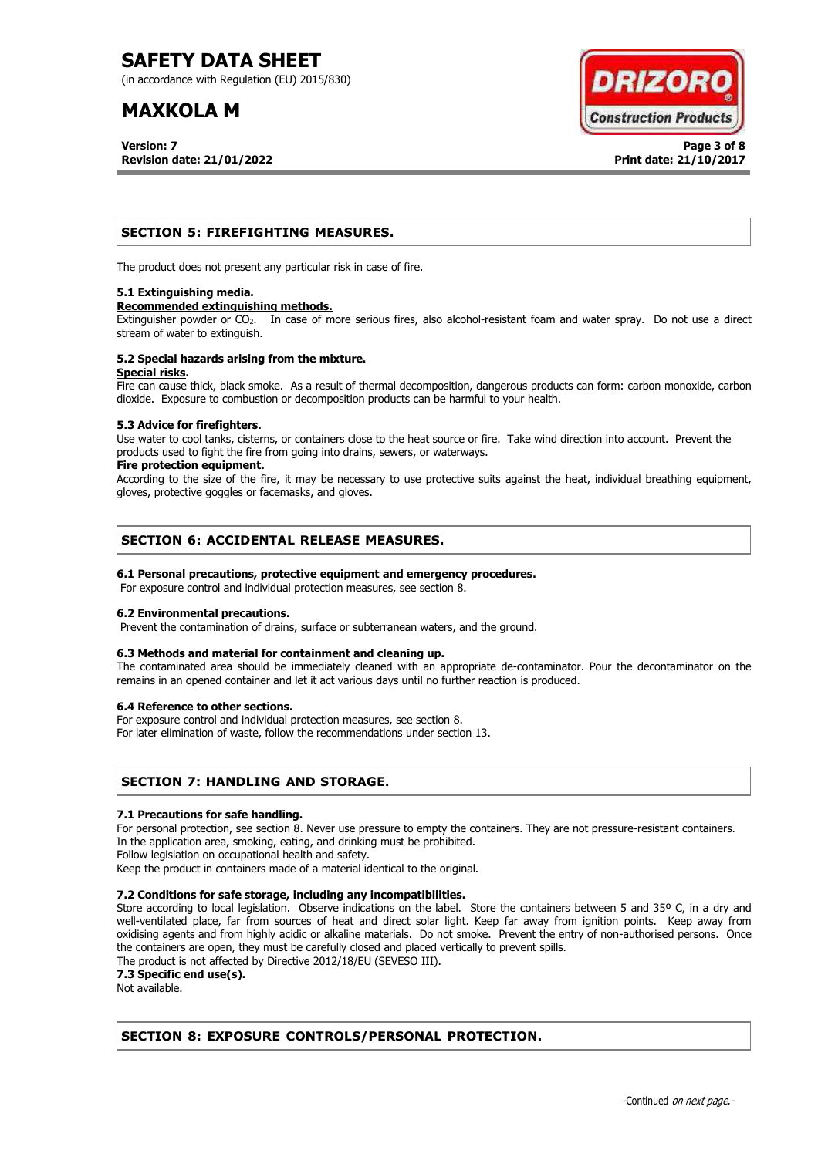(in accordance with Regulation (EU) 2015/830)

# **MAXKOLA M**

**Version: 7 Page 3 of 8 Revision date: 21/01/2022 Print date: 21/10/2017**



## **SECTION 5: FIREFIGHTING MEASURES.**

The product does not present any particular risk in case of fire.

#### **5.1 Extinguishing media.**

#### **Recommended extinguishing methods.**

Extinguisher powder or CO<sub>2</sub>. In case of more serious fires, also alcohol-resistant foam and water spray. Do not use a direct stream of water to extinguish.

#### **5.2 Special hazards arising from the mixture. Special risks.**

Fire can cause thick, black smoke. As a result of thermal decomposition, dangerous products can form: carbon monoxide, carbon dioxide. Exposure to combustion or decomposition products can be harmful to your health.

#### **5.3 Advice for firefighters.**

Use water to cool tanks, cisterns, or containers close to the heat source or fire. Take wind direction into account. Prevent the products used to fight the fire from going into drains, sewers, or waterways.

#### **Fire protection equipment.**

According to the size of the fire, it may be necessary to use protective suits against the heat, individual breathing equipment, gloves, protective goggles or facemasks, and gloves.

## **SECTION 6: ACCIDENTAL RELEASE MEASURES.**

### **6.1 Personal precautions, protective equipment and emergency procedures.**

For exposure control and individual protection measures, see section 8.

### **6.2 Environmental precautions.**

Prevent the contamination of drains, surface or subterranean waters, and the ground.

### **6.3 Methods and material for containment and cleaning up.**

The contaminated area should be immediately cleaned with an appropriate de-contaminator. Pour the decontaminator on the remains in an opened container and let it act various days until no further reaction is produced.

#### **6.4 Reference to other sections.**

For exposure control and individual protection measures, see section 8.

For later elimination of waste, follow the recommendations under section 13.

## **SECTION 7: HANDLING AND STORAGE.**

#### **7.1 Precautions for safe handling.**

For personal protection, see section 8. Never use pressure to empty the containers. They are not pressure-resistant containers. In the application area, smoking, eating, and drinking must be prohibited.

Follow legislation on occupational health and safety.

Keep the product in containers made of a material identical to the original.

### **7.2 Conditions for safe storage, including any incompatibilities.**

Store according to local legislation. Observe indications on the label. Store the containers between 5 and 35° C, in a dry and well-ventilated place, far from sources of heat and direct solar light. Keep far away from ignition points. Keep away from oxidising agents and from highly acidic or alkaline materials. Do not smoke. Prevent the entry of non-authorised persons. Once the containers are open, they must be carefully closed and placed vertically to prevent spills.

The product is not affected by Directive 2012/18/EU (SEVESO III).

**7.3 Specific end use(s).**

Not available.

## **SECTION 8: EXPOSURE CONTROLS/PERSONAL PROTECTION.**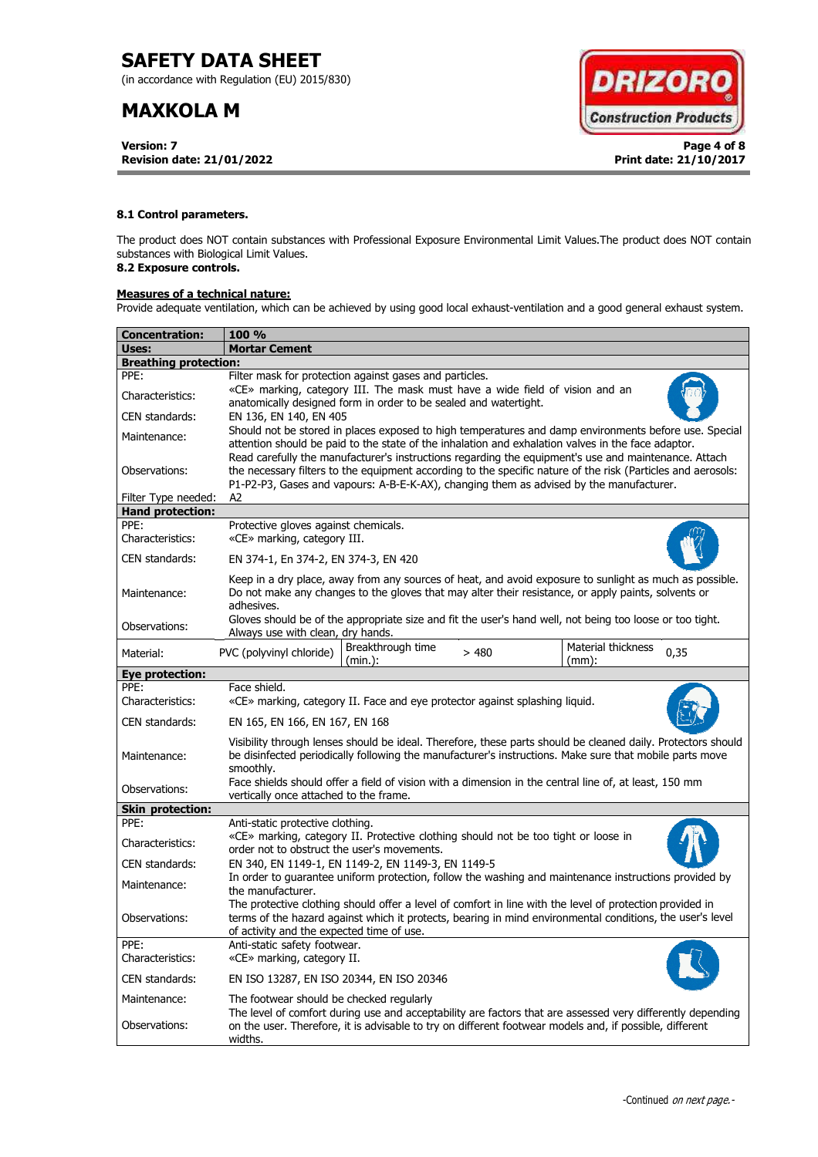(in accordance with Regulation (EU) 2015/830)

# **MAXKOLA M**

**Version: 7 Page 4 of 8 Revision date: 21/01/2022 Print date: 21/10/2017**



### **8.1 Control parameters.**

The product does NOT contain substances with Professional Exposure Environmental Limit Values.The product does NOT contain substances with Biological Limit Values.

## **8.2 Exposure controls.**

## **Measures of a technical nature:**

Provide adequate ventilation, which can be achieved by using good local exhaust-ventilation and a good general exhaust system.

| <b>Concentration:</b>        | <b>100 %</b>                                                                                                                                                                                                                                                                                                        |  |  |
|------------------------------|---------------------------------------------------------------------------------------------------------------------------------------------------------------------------------------------------------------------------------------------------------------------------------------------------------------------|--|--|
| Uses:                        | <b>Mortar Cement</b>                                                                                                                                                                                                                                                                                                |  |  |
| <b>Breathing protection:</b> |                                                                                                                                                                                                                                                                                                                     |  |  |
| PPE:                         | Filter mask for protection against gases and particles.                                                                                                                                                                                                                                                             |  |  |
| Characteristics:             | «CE» marking, category III. The mask must have a wide field of vision and an<br>anatomically designed form in order to be sealed and watertight.                                                                                                                                                                    |  |  |
| CEN standards:               | EN 136, EN 140, EN 405                                                                                                                                                                                                                                                                                              |  |  |
| Maintenance:                 | Should not be stored in places exposed to high temperatures and damp environments before use. Special<br>attention should be paid to the state of the inhalation and exhalation valves in the face adaptor.<br>Read carefully the manufacturer's instructions regarding the equipment's use and maintenance. Attach |  |  |
| Observations:                | the necessary filters to the equipment according to the specific nature of the risk (Particles and aerosols:<br>P1-P2-P3, Gases and vapours: A-B-E-K-AX), changing them as advised by the manufacturer.                                                                                                             |  |  |
| Filter Type needed:          | A2                                                                                                                                                                                                                                                                                                                  |  |  |
| <b>Hand protection:</b>      |                                                                                                                                                                                                                                                                                                                     |  |  |
| PPE:<br>Characteristics:     | Protective gloves against chemicals.<br>«CE» marking, category III.                                                                                                                                                                                                                                                 |  |  |
| CEN standards:               | EN 374-1, En 374-2, EN 374-3, EN 420                                                                                                                                                                                                                                                                                |  |  |
| Maintenance:                 | Keep in a dry place, away from any sources of heat, and avoid exposure to sunlight as much as possible.<br>Do not make any changes to the gloves that may alter their resistance, or apply paints, solvents or<br>adhesives.                                                                                        |  |  |
| Observations:                | Gloves should be of the appropriate size and fit the user's hand well, not being too loose or too tight.<br>Always use with clean, dry hands.                                                                                                                                                                       |  |  |
| Material:                    | Breakthrough time<br>Material thickness<br>PVC (polyvinyl chloride)<br>>480<br>0,35<br>(min.):<br>$(mm)$ :                                                                                                                                                                                                          |  |  |
| Eye protection:              |                                                                                                                                                                                                                                                                                                                     |  |  |
| PPF:                         | Face shield.                                                                                                                                                                                                                                                                                                        |  |  |
| Characteristics:             | «CE» marking, category II. Face and eye protector against splashing liquid.                                                                                                                                                                                                                                         |  |  |
| CEN standards:               | EN 165, EN 166, EN 167, EN 168                                                                                                                                                                                                                                                                                      |  |  |
| Maintenance:                 | Visibility through lenses should be ideal. Therefore, these parts should be cleaned daily. Protectors should<br>be disinfected periodically following the manufacturer's instructions. Make sure that mobile parts move<br>smoothly.                                                                                |  |  |
| Observations:                | Face shields should offer a field of vision with a dimension in the central line of, at least, 150 mm<br>vertically once attached to the frame.                                                                                                                                                                     |  |  |
| <b>Skin protection:</b>      |                                                                                                                                                                                                                                                                                                                     |  |  |
| PPE:                         | Anti-static protective clothing.                                                                                                                                                                                                                                                                                    |  |  |
| Characteristics:             | «CE» marking, category II. Protective clothing should not be too tight or loose in<br>order not to obstruct the user's movements.                                                                                                                                                                                   |  |  |
| CEN standards:               | EN 340, EN 1149-1, EN 1149-2, EN 1149-3, EN 1149-5                                                                                                                                                                                                                                                                  |  |  |
| Maintenance:                 | In order to guarantee uniform protection, follow the washing and maintenance instructions provided by<br>the manufacturer.                                                                                                                                                                                          |  |  |
| Observations:                | The protective clothing should offer a level of comfort in line with the level of protection provided in<br>terms of the hazard against which it protects, bearing in mind environmental conditions, the user's level<br>of activity and the expected time of use.                                                  |  |  |
| PPE:<br>Characteristics:     | Anti-static safety footwear.<br>«CE» marking, category II.                                                                                                                                                                                                                                                          |  |  |
| CEN standards:               | EN ISO 13287, EN ISO 20344, EN ISO 20346                                                                                                                                                                                                                                                                            |  |  |
| Maintenance:                 | The footwear should be checked regularly                                                                                                                                                                                                                                                                            |  |  |
| Observations:                | The level of comfort during use and acceptability are factors that are assessed very differently depending<br>on the user. Therefore, it is advisable to try on different footwear models and, if possible, different<br>widths.                                                                                    |  |  |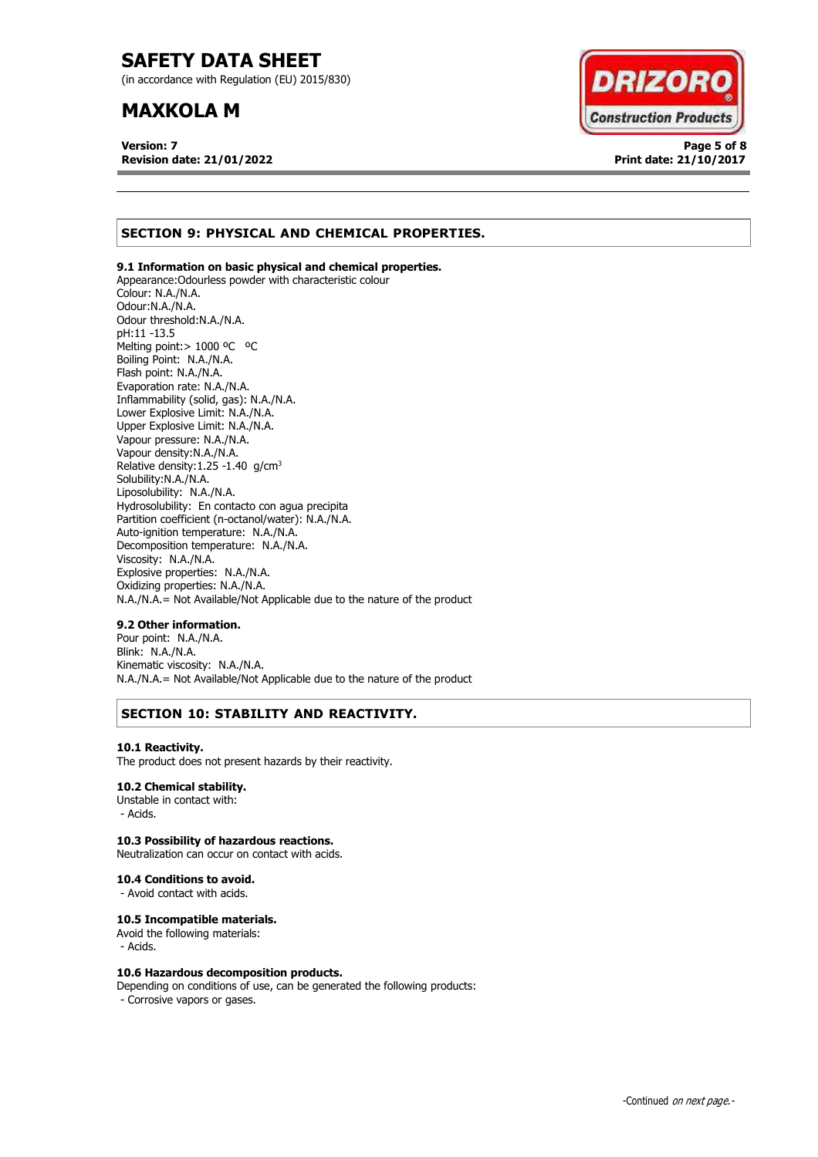(in accordance with Regulation (EU) 2015/830)

## **MAXKOLA M**

**Version: 7 Page 5 of 8 Revision date: 21/01/2022 Print date: 21/10/2017**



## **SECTION 9: PHYSICAL AND CHEMICAL PROPERTIES.**

### **9.1 Information on basic physical and chemical properties.**

Appearance:Odourless powder with characteristic colour Colour: N.A./N.A. Odour:N.A./N.A. Odour threshold:N.A./N.A. pH:11 -13.5 Melting point: > 1000 °C °C Boiling Point: N.A./N.A. Flash point: N.A./N.A. Evaporation rate: N.A./N.A. Inflammability (solid, gas): N.A./N.A. Lower Explosive Limit: N.A./N.A. Upper Explosive Limit: N.A./N.A. Vapour pressure: N.A./N.A. Vapour density:N.A./N.A. Relative density:  $1.25 - 1.40$  g/cm<sup>3</sup> Solubility:N.A./N.A. Liposolubility: N.A./N.A. Hydrosolubility: En contacto con agua precipita Partition coefficient (n-octanol/water): N.A./N.A. Auto-ignition temperature: N.A./N.A. Decomposition temperature: N.A./N.A. Viscosity: N.A./N.A. Explosive properties: N.A./N.A. Oxidizing properties: N.A./N.A. N.A./N.A.= Not Available/Not Applicable due to the nature of the product

### **9.2 Other information.**

Pour point: N.A./N.A. Blink: N.A./N.A. Kinematic viscosity: N.A./N.A. N.A./N.A.= Not Available/Not Applicable due to the nature of the product

## **SECTION 10: STABILITY AND REACTIVITY.**

#### **10.1 Reactivity.**

The product does not present hazards by their reactivity.

### **10.2 Chemical stability.**

Unstable in contact with: - Acids.

### **10.3 Possibility of hazardous reactions.**

Neutralization can occur on contact with acids.

#### **10.4 Conditions to avoid.**

- Avoid contact with acids.

#### **10.5 Incompatible materials.**

Avoid the following materials: - Acids.

#### **10.6 Hazardous decomposition products.**

Depending on conditions of use, can be generated the following products: - Corrosive vapors or gases.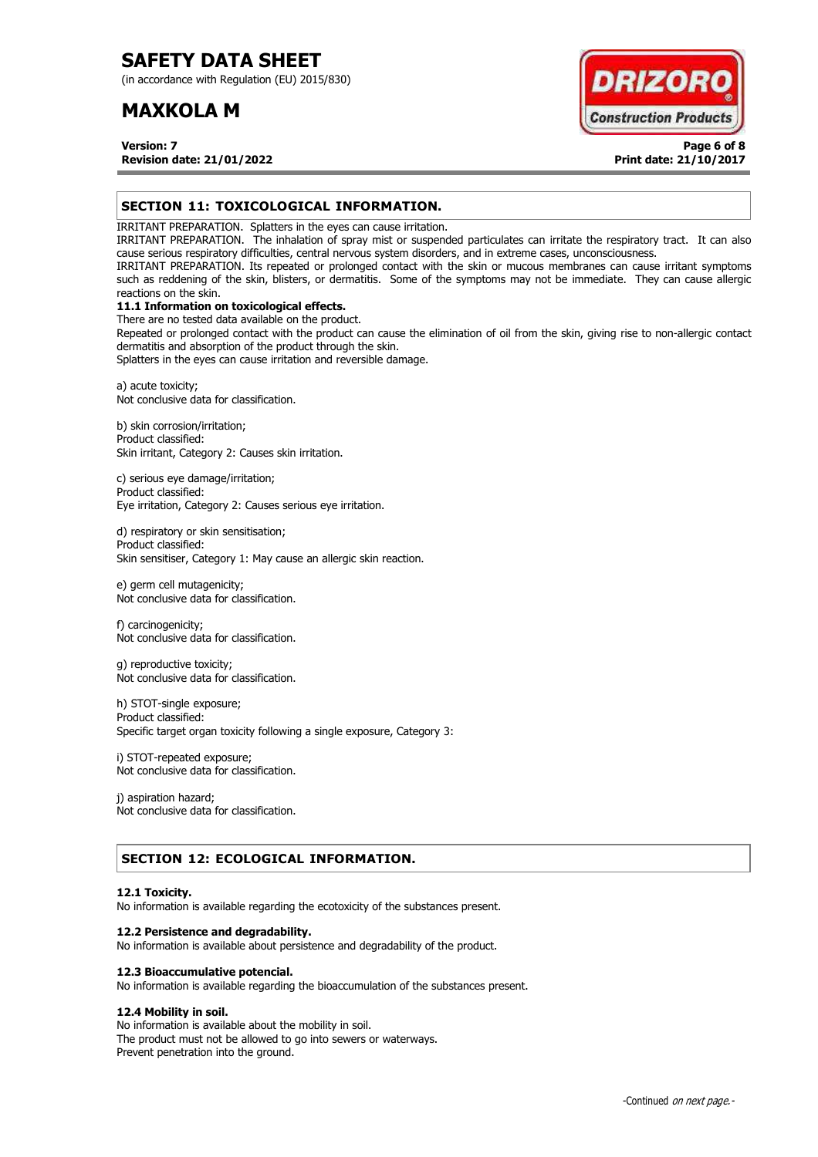(in accordance with Regulation (EU) 2015/830)

## **MAXKOLA M**

**DRIZOR Construction Products** 

**Version: 7 Page 6 of 8 Revision date: 21/01/2022 Print date: 21/10/2017**

## **SECTION 11: TOXICOLOGICAL INFORMATION.**

IRRITANT PREPARATION. Splatters in the eyes can cause irritation.

IRRITANT PREPARATION. The inhalation of spray mist or suspended particulates can irritate the respiratory tract. It can also cause serious respiratory difficulties, central nervous system disorders, and in extreme cases, unconsciousness.

IRRITANT PREPARATION. Its repeated or prolonged contact with the skin or mucous membranes can cause irritant symptoms such as reddening of the skin, blisters, or dermatitis. Some of the symptoms may not be immediate. They can cause allergic reactions on the skin.

## **11.1 Information on toxicological effects.**

There are no tested data available on the product. Repeated or prolonged contact with the product can cause the elimination of oil from the skin, giving rise to non-allergic contact dermatitis and absorption of the product through the skin.

Splatters in the eyes can cause irritation and reversible damage.

a) acute toxicity; Not conclusive data for classification.

b) skin corrosion/irritation; Product classified: Skin irritant, Category 2: Causes skin irritation.

c) serious eye damage/irritation; Product classified: Eye irritation, Category 2: Causes serious eye irritation.

d) respiratory or skin sensitisation; Product classified: Skin sensitiser, Category 1: May cause an allergic skin reaction.

e) germ cell mutagenicity; Not conclusive data for classification.

f) carcinogenicity; Not conclusive data for classification.

g) reproductive toxicity; Not conclusive data for classification.

h) STOT-single exposure; Product classified: Specific target organ toxicity following a single exposure, Category 3:

i) STOT-repeated exposure; Not conclusive data for classification.

j) aspiration hazard; Not conclusive data for classification.

## **SECTION 12: ECOLOGICAL INFORMATION.**

#### **12.1 Toxicity.**

No information is available regarding the ecotoxicity of the substances present.

#### **12.2 Persistence and degradability.**

No information is available about persistence and degradability of the product.

#### **12.3 Bioaccumulative potencial.**

No information is available regarding the bioaccumulation of the substances present.

## **12.4 Mobility in soil.**

No information is available about the mobility in soil. The product must not be allowed to go into sewers or waterways. Prevent penetration into the ground.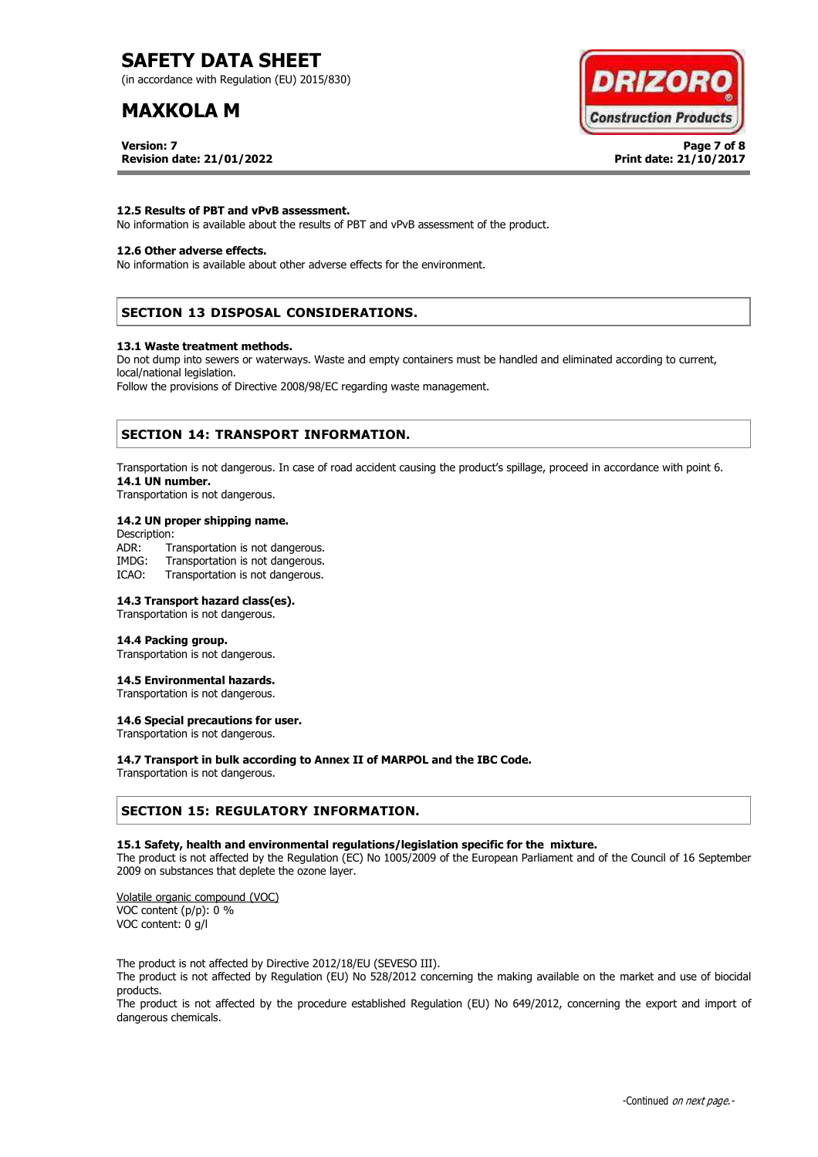(in accordance with Regulation (EU) 2015/830)

# **MAXKOLA M**

**Version: 7 Page 7 of 8 Revision date: 21/01/2022 Print date: 21/10/2017**



#### **12.5 Results of PBT and vPvB assessment.**

No information is available about the results of PBT and vPvB assessment of the product.

### **12.6 Other adverse effects.**

No information is available about other adverse effects for the environment.

### **SECTION 13 DISPOSAL CONSIDERATIONS.**

#### **13.1 Waste treatment methods.**

Do not dump into sewers or waterways. Waste and empty containers must be handled and eliminated according to current, local/national legislation.

Follow the provisions of Directive 2008/98/EC regarding waste management.

### **SECTION 14: TRANSPORT INFORMATION.**

Transportation is not dangerous. In case of road accident causing the product's spillage, proceed in accordance with point 6. **14.1 UN number.**

Transportation is not dangerous.

#### **14.2 UN proper shipping name.**

Description: ADR: Transportation is not dangerous.<br>IMDG: Transportation is not dangerous. Transportation is not dangerous. ICAO: Transportation is not dangerous.

#### **14.3 Transport hazard class(es).**

Transportation is not dangerous.

#### **14.4 Packing group.**

Transportation is not dangerous.

#### **14.5 Environmental hazards.**

Transportation is not dangerous.

## **14.6 Special precautions for user.**

Transportation is not dangerous.

#### **14.7 Transport in bulk according to Annex II of MARPOL and the IBC Code.**

Transportation is not dangerous.

### **SECTION 15: REGULATORY INFORMATION.**

#### **15.1 Safety, health and environmental regulations/legislation specific for the mixture.**

The product is not affected by the Regulation (EC) No 1005/2009 of the European Parliament and of the Council of 16 September 2009 on substances that deplete the ozone layer.

Volatile organic compound (VOC) VOC content (p/p): 0 % VOC content: 0 g/l

The product is not affected by Directive 2012/18/EU (SEVESO III).

The product is not affected by Regulation (EU) No 528/2012 concerning the making available on the market and use of biocidal products.

The product is not affected by the procedure established Regulation (EU) No 649/2012, concerning the export and import of dangerous chemicals.